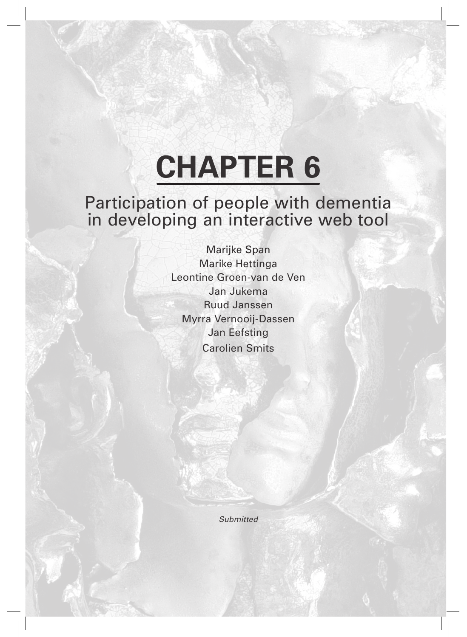# **CHAPTER 6**

## Participation of people with dementia in developing an interactive web tool

Marijke Span Marike Hettinga Leontine Groen-van de Ven Jan Jukema Ruud Janssen Myrra Vernooij-Dassen Jan Eefsting Carolien Smits

*Submitted*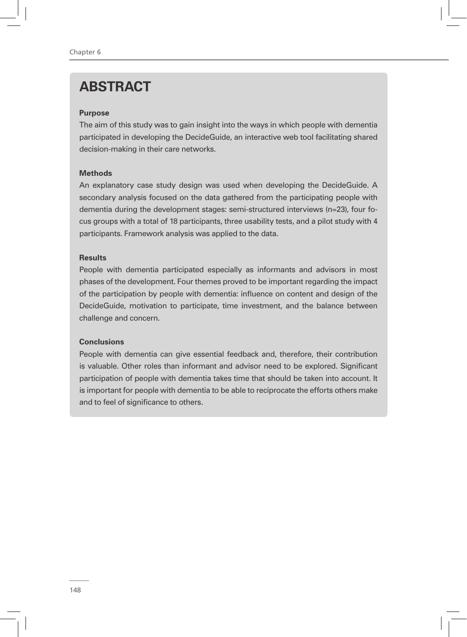## **ABSTRACT**

#### **Purpose**

The aim of this study was to gain insight into the ways in which people with dementia participated in developing the DecideGuide, an interactive web tool facilitating shared decision-making in their care networks.

#### **Methods**

An explanatory case study design was used when developing the DecideGuide. A secondary analysis focused on the data gathered from the participating people with dementia during the development stages: semi-structured interviews (n=23), four focus groups with a total of 18 participants, three usability tests, and a pilot study with 4 participants. Framework analysis was applied to the data.

#### **Results**

People with dementia participated especially as informants and advisors in most phases of the development. Four themes proved to be important regarding the impact of the participation by people with dementia: influence on content and design of the DecideGuide, motivation to participate, time investment, and the balance between challenge and concern.

#### **Conclusions**

People with dementia can give essential feedback and, therefore, their contribution is valuable. Other roles than informant and advisor need to be explored. Significant participation of people with dementia takes time that should be taken into account. It is important for people with dementia to be able to reciprocate the efforts others make and to feel of significance to others.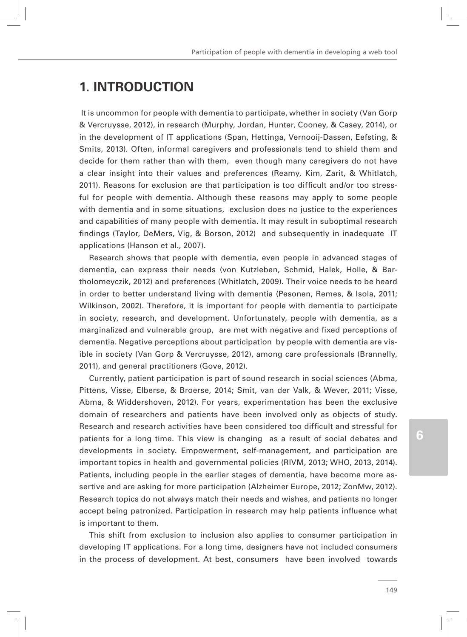## **1. INTRODUCTION**

 It is uncommon for people with dementia to participate, whether in society (Van Gorp & Vercruysse, 2012), in research (Murphy, Jordan, Hunter, Cooney, & Casey, 2014), or in the development of IT applications (Span, Hettinga, Vernooij-Dassen, Eefsting, & Smits, 2013). Often, informal caregivers and professionals tend to shield them and decide for them rather than with them, even though many caregivers do not have a clear insight into their values and preferences (Reamy, Kim, Zarit, & Whitlatch, 2011). Reasons for exclusion are that participation is too difficult and/or too stressful for people with dementia. Although these reasons may apply to some people with dementia and in some situations, exclusion does no justice to the experiences and capabilities of many people with dementia. It may result in suboptimal research findings (Taylor, DeMers, Vig, & Borson, 2012) and subsequently in inadequate IT applications (Hanson et al., 2007).

Research shows that people with dementia, even people in advanced stages of dementia, can express their needs (von Kutzleben, Schmid, Halek, Holle, & Bartholomeyczik, 2012) and preferences (Whitlatch, 2009). Their voice needs to be heard in order to better understand living with dementia (Pesonen, Remes, & Isola, 2011; Wilkinson, 2002). Therefore, it is important for people with dementia to participate in society, research, and development. Unfortunately, people with dementia, as a marginalized and vulnerable group, are met with negative and fixed perceptions of dementia. Negative perceptions about participation by people with dementia are visible in society (Van Gorp & Vercruysse, 2012), among care professionals (Brannelly, 2011), and general practitioners (Gove, 2012).

Currently, patient participation is part of sound research in social sciences (Abma, Pittens, Visse, Elberse, & Broerse, 2014; Smit, van der Valk, & Wever, 2011; Visse, Abma, & Widdershoven, 2012). For years, experimentation has been the exclusive domain of researchers and patients have been involved only as objects of study. Research and research activities have been considered too difficult and stressful for patients for a long time. This view is changing as a result of social debates and developments in society. Empowerment, self-management, and participation are important topics in health and governmental policies (RIVM, 2013; WHO, 2013, 2014). Patients, including people in the earlier stages of dementia, have become more assertive and are asking for more participation (Alzheimer Europe, 2012; ZonMw, 2012). Research topics do not always match their needs and wishes, and patients no longer accept being patronized. Participation in research may help patients influence what is important to them.

This shift from exclusion to inclusion also applies to consumer participation in developing IT applications. For a long time, designers have not included consumers in the process of development. At best, consumers have been involved towards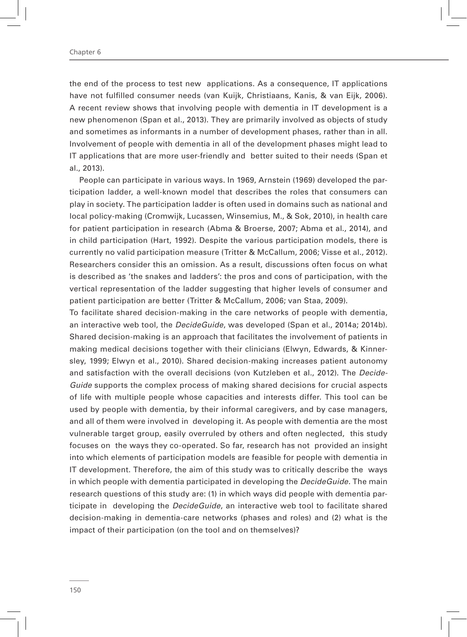#### Chapter 6

the end of the process to test new applications. As a consequence, IT applications have not fulfilled consumer needs (van Kuijk, Christiaans, Kanis, & van Eijk, 2006). A recent review shows that involving people with dementia in IT development is a new phenomenon (Span et al., 2013). They are primarily involved as objects of study and sometimes as informants in a number of development phases, rather than in all. Involvement of people with dementia in all of the development phases might lead to IT applications that are more user-friendly and better suited to their needs (Span et al., 2013).

People can participate in various ways. In 1969, Arnstein (1969) developed the participation ladder, a well-known model that describes the roles that consumers can play in society. The participation ladder is often used in domains such as national and local policy-making (Cromwijk, Lucassen, Winsemius, M., & Sok, 2010), in health care for patient participation in research (Abma & Broerse, 2007; Abma et al., 2014), and in child participation (Hart, 1992). Despite the various participation models, there is currently no valid participation measure (Tritter & McCallum, 2006; Visse et al., 2012). Researchers consider this an omission. As a result, discussions often focus on what is described as 'the snakes and ladders': the pros and cons of participation, with the vertical representation of the ladder suggesting that higher levels of consumer and patient participation are better (Tritter & McCallum, 2006; van Staa, 2009).

To facilitate shared decision-making in the care networks of people with dementia, an interactive web tool, the *DecideGuide*, was developed (Span et al., 2014a; 2014b). Shared decision-making is an approach that facilitates the involvement of patients in making medical decisions together with their clinicians (Elwyn, Edwards, & Kinnersley, 1999; Elwyn et al., 2010). Shared decision-making increases patient autonomy and satisfaction with the overall decisions (von Kutzleben et al., 2012). The *Decide-Guide* supports the complex process of making shared decisions for crucial aspects of life with multiple people whose capacities and interests differ. This tool can be used by people with dementia, by their informal caregivers, and by case managers, and all of them were involved in developing it. As people with dementia are the most vulnerable target group, easily overruled by others and often neglected, this study focuses on the ways they co-operated. So far, research has not provided an insight into which elements of participation models are feasible for people with dementia in IT development. Therefore, the aim of this study was to critically describe the ways in which people with dementia participated in developing the *DecideGuide*. The main research questions of this study are: (1) in which ways did people with dementia participate in developing the *DecideGuide*, an interactive web tool to facilitate shared decision-making in dementia-care networks (phases and roles) and (2) what is the impact of their participation (on the tool and on themselves)?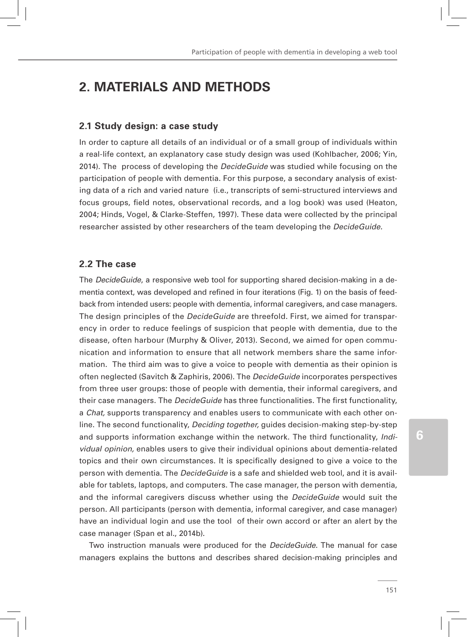## **2. MATERIALS AND METHODS**

#### **2.1 Study design: a case study**

In order to capture all details of an individual or of a small group of individuals within a real-life context, an explanatory case study design was used (Kohlbacher, 2006; Yin, 2014). The process of developing the *DecideGuide* was studied while focusing on the participation of people with dementia. For this purpose, a secondary analysis of existing data of a rich and varied nature (i.e., transcripts of semi-structured interviews and focus groups, field notes, observational records, and a log book) was used (Heaton, 2004; Hinds, Vogel, & Clarke-Steffen, 1997). These data were collected by the principal researcher assisted by other researchers of the team developing the *DecideGuide.* 

#### **2.2 The case**

The *DecideGuide*, a responsive web tool for supporting shared decision-making in a dementia context, was developed and refined in four iterations (Fig. 1) on the basis of feedback from intended users: people with dementia, informal caregivers, and case managers. The design principles of the *DecideGuide* are threefold. First, we aimed for transparency in order to reduce feelings of suspicion that people with dementia, due to the disease, often harbour (Murphy & Oliver, 2013). Second, we aimed for open communication and information to ensure that all network members share the same information. The third aim was to give a voice to people with dementia as their opinion is often neglected (Savitch & Zaphiris, 2006). The *DecideGuide* incorporates perspectives from three user groups: those of people with dementia, their informal caregivers, and their case managers. The *DecideGuide* has three functionalities. The first functionality, a *Chat,* supports transparency and enables users to communicate with each other online. The second functionality, *Deciding together,* guides decision-making step-by-step and supports information exchange within the network. The third functionality, *Individual opinion,* enables users to give their individual opinions about dementia-related topics and their own circumstances. It is specifically designed to give a voice to the person with dementia. The *DecideGuide* is a safe and shielded web tool, and it is available for tablets, laptops, and computers. The case manager, the person with dementia, and the informal caregivers discuss whether using the *DecideGuide* would suit the person. All participants (person with dementia, informal caregiver, and case manager) have an individual login and use the tool of their own accord or after an alert by the case manager (Span et al., 2014b).

Two instruction manuals were produced for the *DecideGuide.* The manual for case managers explains the buttons and describes shared decision-making principles and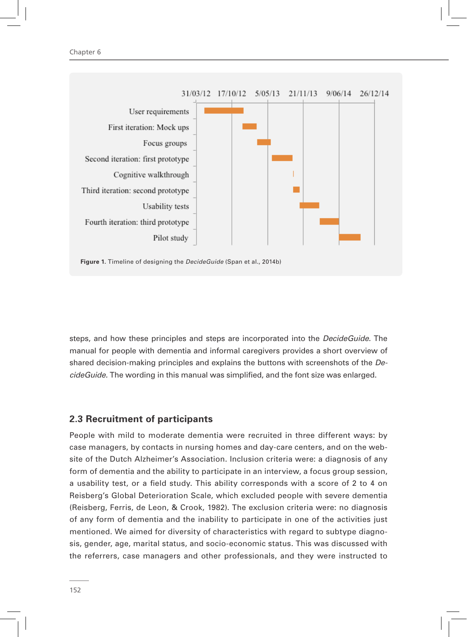

steps, and how these principles and steps are incorporated into the *DecideGuide.* The manual for people with dementia and informal caregivers provides a short overview of shared decision-making principles and explains the buttons with screenshots of the *DecideGuide.* The wording in this manual was simplified, and the font size was enlarged.

#### **2.3 Recruitment of participants**

People with mild to moderate dementia were recruited in three different ways: by case managers, by contacts in nursing homes and day-care centers, and on the website of the Dutch Alzheimer's Association. Inclusion criteria were: a diagnosis of any form of dementia and the ability to participate in an interview, a focus group session, a usability test, or a field study. This ability corresponds with a score of 2 to 4 on Reisberg's Global Deterioration Scale, which excluded people with severe dementia (Reisberg, Ferris, de Leon, & Crook, 1982). The exclusion criteria were: no diagnosis of any form of dementia and the inability to participate in one of the activities just mentioned. We aimed for diversity of characteristics with regard to subtype diagnosis, gender, age, marital status, and socio-economic status. This was discussed with the referrers, case managers and other professionals, and they were instructed to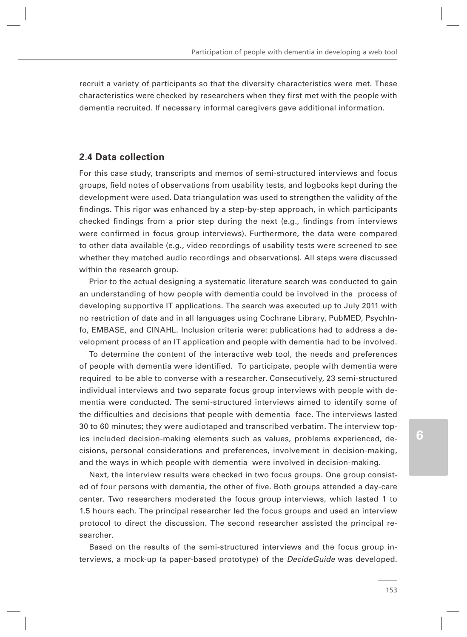recruit a variety of participants so that the diversity characteristics were met. These characteristics were checked by researchers when they first met with the people with dementia recruited. If necessary informal caregivers gave additional information.

#### **2.4 Data collection**

For this case study, transcripts and memos of semi-structured interviews and focus groups, field notes of observations from usability tests, and logbooks kept during the development were used. Data triangulation was used to strengthen the validity of the findings. This rigor was enhanced by a step-by-step approach, in which participants checked findings from a prior step during the next (e.g., findings from interviews were confirmed in focus group interviews). Furthermore, the data were compared to other data available (e.g., video recordings of usability tests were screened to see whether they matched audio recordings and observations). All steps were discussed within the research group.

Prior to the actual designing a systematic literature search was conducted to gain an understanding of how people with dementia could be involved in the process of developing supportive IT applications. The search was executed up to July 2011 with no restriction of date and in all languages using Cochrane Library, PubMED, PsychInfo, EMBASE, and CINAHL. Inclusion criteria were: publications had to address a development process of an IT application and people with dementia had to be involved.

To determine the content of the interactive web tool, the needs and preferences of people with dementia were identified. To participate, people with dementia were required to be able to converse with a researcher. Consecutively, 23 semi-structured individual interviews and two separate focus group interviews with people with dementia were conducted. The semi-structured interviews aimed to identify some of the difficulties and decisions that people with dementia face. The interviews lasted 30 to 60 minutes; they were audiotaped and transcribed verbatim. The interview topics included decision-making elements such as values, problems experienced, decisions, personal considerations and preferences, involvement in decision-making, and the ways in which people with dementia were involved in decision-making.

Next, the interview results were checked in two focus groups. One group consisted of four persons with dementia, the other of five. Both groups attended a day-care center. Two researchers moderated the focus group interviews, which lasted 1 to 1.5 hours each. The principal researcher led the focus groups and used an interview protocol to direct the discussion. The second researcher assisted the principal researcher.

Based on the results of the semi-structured interviews and the focus group interviews, a mock-up (a paper-based prototype) of the *DecideGuide* was developed.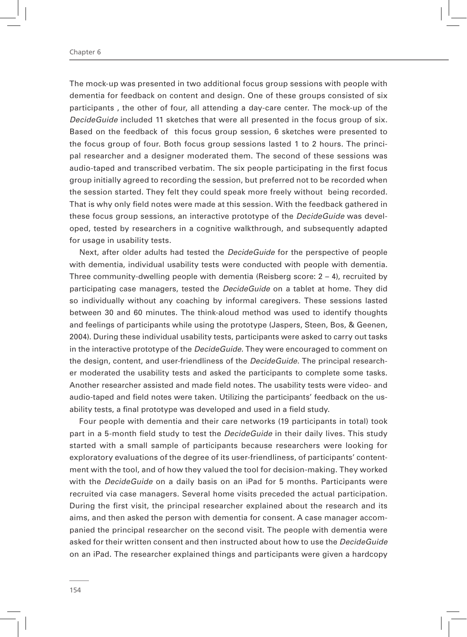#### Chapter 6

The mock-up was presented in two additional focus group sessions with people with dementia for feedback on content and design. One of these groups consisted of six participants , the other of four, all attending a day-care center. The mock-up of the *DecideGuide* included 11 sketches that were all presented in the focus group of six. Based on the feedback of this focus group session, 6 sketches were presented to the focus group of four. Both focus group sessions lasted 1 to 2 hours. The principal researcher and a designer moderated them. The second of these sessions was audio-taped and transcribed verbatim. The six people participating in the first focus group initially agreed to recording the session, but preferred not to be recorded when the session started. They felt they could speak more freely without being recorded. That is why only field notes were made at this session. With the feedback gathered in these focus group sessions, an interactive prototype of the *DecideGuide* was developed, tested by researchers in a cognitive walkthrough, and subsequently adapted for usage in usability tests.

Next, after older adults had tested the *DecideGuide* for the perspective of people with dementia, individual usability tests were conducted with people with dementia. Three community-dwelling people with dementia (Reisberg score: 2 – 4), recruited by participating case managers, tested the *DecideGuide* on a tablet at home. They did so individually without any coaching by informal caregivers. These sessions lasted between 30 and 60 minutes. The think-aloud method was used to identify thoughts and feelings of participants while using the prototype (Jaspers, Steen, Bos, & Geenen, 2004). During these individual usability tests, participants were asked to carry out tasks in the interactive prototype of the *DecideGuide.* They were encouraged to comment on the design, content, and user-friendliness of the *DecideGuide*. The principal researcher moderated the usability tests and asked the participants to complete some tasks. Another researcher assisted and made field notes. The usability tests were video- and audio-taped and field notes were taken. Utilizing the participants' feedback on the usability tests, a final prototype was developed and used in a field study.

Four people with dementia and their care networks (19 participants in total) took part in a 5-month field study to test the *DecideGuide* in their daily lives. This study started with a small sample of participants because researchers were looking for exploratory evaluations of the degree of its user-friendliness, of participants' contentment with the tool, and of how they valued the tool for decision-making. They worked with the *DecideGuide* on a daily basis on an iPad for 5 months. Participants were recruited via case managers. Several home visits preceded the actual participation. During the first visit, the principal researcher explained about the research and its aims, and then asked the person with dementia for consent. A case manager accompanied the principal researcher on the second visit. The people with dementia were asked for their written consent and then instructed about how to use the *DecideGuide*  on an iPad. The researcher explained things and participants were given a hardcopy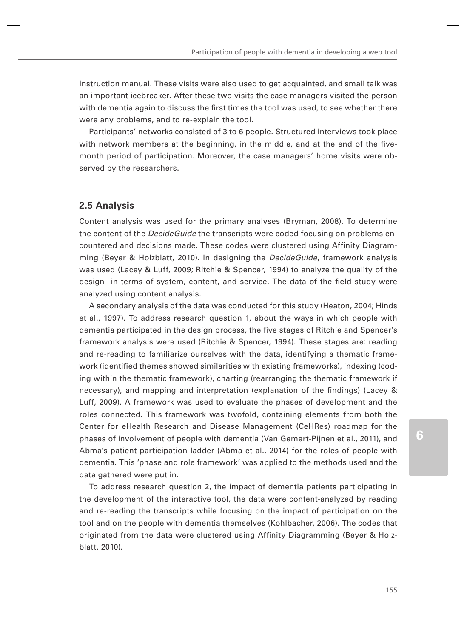instruction manual. These visits were also used to get acquainted, and small talk was an important icebreaker. After these two visits the case managers visited the person with dementia again to discuss the first times the tool was used, to see whether there were any problems, and to re-explain the tool.

Participants' networks consisted of 3 to 6 people. Structured interviews took place with network members at the beginning, in the middle, and at the end of the fivemonth period of participation. Moreover, the case managers' home visits were observed by the researchers.

#### **2.5 Analysis**

Content analysis was used for the primary analyses (Bryman, 2008). To determine the content of the *DecideGuide* the transcripts were coded focusing on problems encountered and decisions made. These codes were clustered using Affinity Diagramming (Beyer & Holzblatt, 2010). In designing the *DecideGuide*, framework analysis was used (Lacey & Luff, 2009; Ritchie & Spencer, 1994) to analyze the quality of the design in terms of system, content, and service. The data of the field study were analyzed using content analysis.

A secondary analysis of the data was conducted for this study (Heaton, 2004; Hinds et al., 1997). To address research question 1, about the ways in which people with dementia participated in the design process, the five stages of Ritchie and Spencer's framework analysis were used (Ritchie & Spencer, 1994). These stages are: reading and re-reading to familiarize ourselves with the data, identifying a thematic framework (identified themes showed similarities with existing frameworks), indexing (coding within the thematic framework), charting (rearranging the thematic framework if necessary), and mapping and interpretation (explanation of the findings) (Lacey & Luff, 2009). A framework was used to evaluate the phases of development and the roles connected. This framework was twofold, containing elements from both the Center for eHealth Research and Disease Management (CeHRes) roadmap for the phases of involvement of people with dementia (Van Gemert-Pijnen et al., 2011), and Abma's patient participation ladder (Abma et al., 2014) for the roles of people with dementia. This 'phase and role framework' was applied to the methods used and the data gathered were put in.

To address research question 2, the impact of dementia patients participating in the development of the interactive tool, the data were content-analyzed by reading and re-reading the transcripts while focusing on the impact of participation on the tool and on the people with dementia themselves (Kohlbacher, 2006). The codes that originated from the data were clustered using Affinity Diagramming (Beyer & Holzblatt, 2010).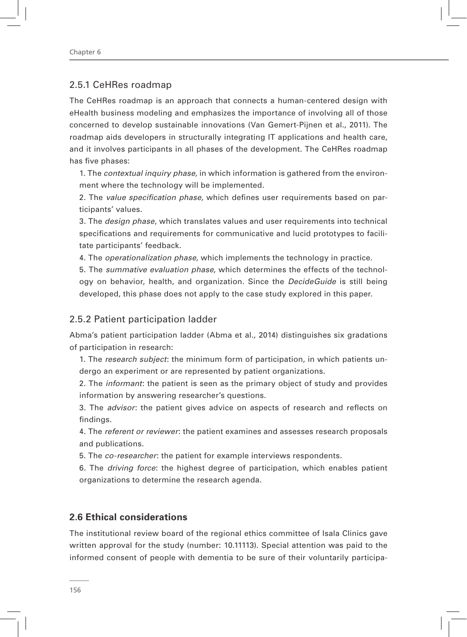#### 2.5.1 CeHRes roadmap

The CeHRes roadmap is an approach that connects a human-centered design with eHealth business modeling and emphasizes the importance of involving all of those concerned to develop sustainable innovations (Van Gemert-Pijnen et al., 2011). The roadmap aids developers in structurally integrating IT applications and health care, and it involves participants in all phases of the development. The CeHRes roadmap has five phases:

1. The *contextual inquiry phase,* in which information is gathered from the environment where the technology will be implemented.

2. The *value specification phase,* which defines user requirements based on participants' values.

3. The *design phase*, which translates values and user requirements into technical specifications and requirements for communicative and lucid prototypes to facilitate participants' feedback.

4. The *operationalization phase,* which implements the technology in practice.

5. The *summative evaluation phase,* which determines the effects of the technology on behavior, health, and organization. Since the *DecideGuide* is still being developed, this phase does not apply to the case study explored in this paper.

#### 2.5.2 Patient participation ladder

Abma's patient participation ladder (Abma et al., 2014) distinguishes six gradations of participation in research:

1. The *research subject*: the minimum form of participation, in which patients undergo an experiment or are represented by patient organizations.

2. The *informant*: the patient is seen as the primary object of study and provides information by answering researcher's questions.

3. The *advisor*: the patient gives advice on aspects of research and reflects on findings.

4. The *referent or reviewer*: the patient examines and assesses research proposals and publications.

5. The *co*-*researcher*: the patient for example interviews respondents.

6. The *driving force*: the highest degree of participation, which enables patient organizations to determine the research agenda.

#### **2.6 Ethical considerations**

The institutional review board of the regional ethics committee of Isala Clinics gave written approval for the study (number: 10.11113). Special attention was paid to the informed consent of people with dementia to be sure of their voluntarily participa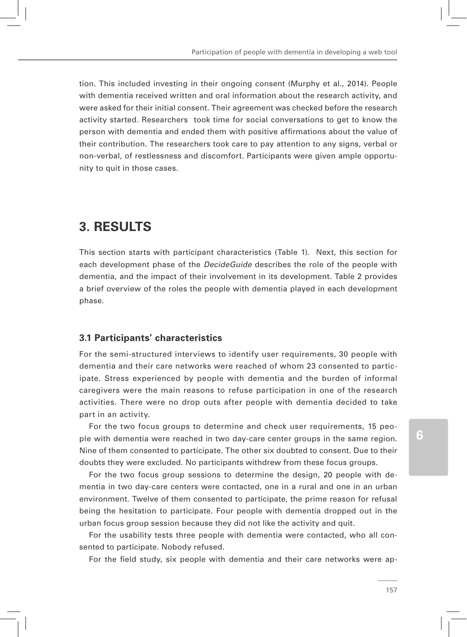tion. This included investing in their ongoing consent (Murphy et al., 2014). People with dementia received written and oral information about the research activity, and were asked for their initial consent. Their agreement was checked before the research activity started. Researchers took time for social conversations to get to know the person with dementia and ended them with positive affirmations about the value of their contribution. The researchers took care to pay attention to any signs, verbal or non-verbal, of restlessness and discomfort. Participants were given ample opportunity to quit in those cases.

## **3. RESULTS**

This section starts with participant characteristics (Table 1). Next, this section for each development phase of the *DecideGuide* describes the role of the people with dementia, and the impact of their involvement in its development. Table 2 provides a brief overview of the roles the people with dementia played in each development phase.

#### **3.1 Participants' characteristics**

For the semi-structured interviews to identify user requirements, 30 people with dementia and their care networks were reached of whom 23 consented to participate. Stress experienced by people with dementia and the burden of informal caregivers were the main reasons to refuse participation in one of the research activities. There were no drop outs after people with dementia decided to take part in an activity.

For the two focus groups to determine and check user requirements, 15 people with dementia were reached in two day-care center groups in the same region. Nine of them consented to participate. The other six doubted to consent. Due to their doubts they were excluded. No participants withdrew from these focus groups.

For the two focus group sessions to determine the design, 20 people with dementia in two day-care centers were contacted, one in a rural and one in an urban environment. Twelve of them consented to participate, the prime reason for refusal being the hesitation to participate. Four people with dementia dropped out in the urban focus group session because they did not like the activity and quit.

For the usability tests three people with dementia were contacted, who all consented to participate. Nobody refused.

For the field study, six people with dementia and their care networks were ap-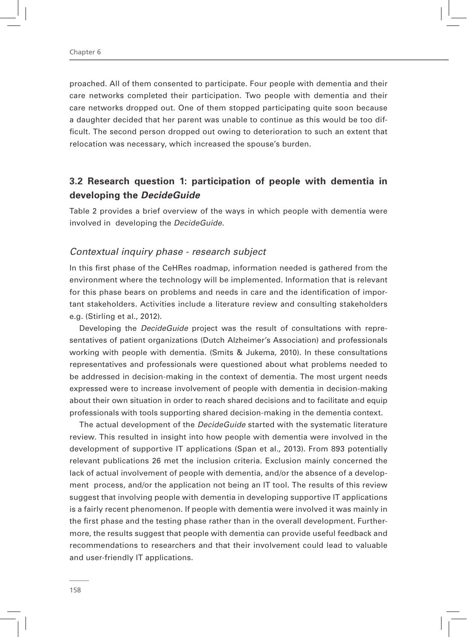proached. All of them consented to participate. Four people with dementia and their care networks completed their participation. Two people with dementia and their care networks dropped out. One of them stopped participating quite soon because a daughter decided that her parent was unable to continue as this would be too difficult. The second person dropped out owing to deterioration to such an extent that relocation was necessary, which increased the spouse's burden.

#### **3.2 Research question 1: participation of people with dementia in developing the** *DecideGuide*

Table 2 provides a brief overview of the ways in which people with dementia were involved in developing the *DecideGuide*.

#### *Contextual inquiry phase - research subject*

In this first phase of the CeHRes roadmap, information needed is gathered from the environment where the technology will be implemented. Information that is relevant for this phase bears on problems and needs in care and the identification of important stakeholders. Activities include a literature review and consulting stakeholders e.g. (Stirling et al., 2012).

Developing the *DecideGuide* project was the result of consultations with representatives of patient organizations (Dutch Alzheimer's Association) and professionals working with people with dementia. (Smits & Jukema, 2010). In these consultations representatives and professionals were questioned about what problems needed to be addressed in decision-making in the context of dementia. The most urgent needs expressed were to increase involvement of people with dementia in decision-making about their own situation in order to reach shared decisions and to facilitate and equip professionals with tools supporting shared decision-making in the dementia context.

The actual development of the *DecideGuide* started with the systematic literature review. This resulted in insight into how people with dementia were involved in the development of supportive IT applications (Span et al., 2013). From 893 potentially relevant publications 26 met the inclusion criteria. Exclusion mainly concerned the lack of actual involvement of people with dementia, and/or the absence of a development process, and/or the application not being an IT tool. The results of this review suggest that involving people with dementia in developing supportive IT applications is a fairly recent phenomenon. If people with dementia were involved it was mainly in the first phase and the testing phase rather than in the overall development. Furthermore, the results suggest that people with dementia can provide useful feedback and recommendations to researchers and that their involvement could lead to valuable and user-friendly IT applications.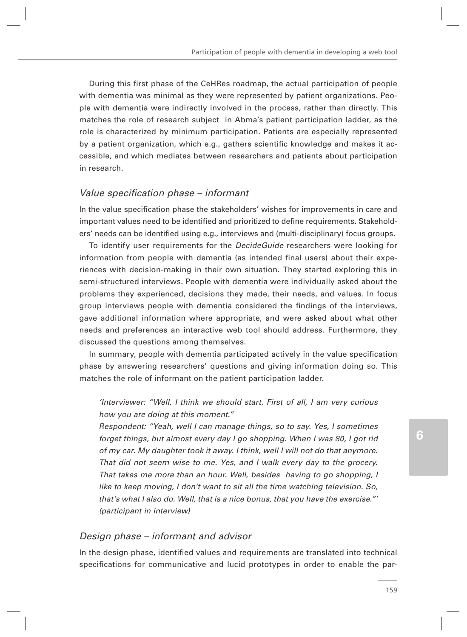During this first phase of the CeHRes roadmap, the actual participation of people with dementia was minimal as they were represented by patient organizations. People with dementia were indirectly involved in the process, rather than directly. This matches the role of research subject in Abma's patient participation ladder, as the role is characterized by minimum participation. Patients are especially represented by a patient organization, which e.g., gathers scientific knowledge and makes it accessible, and which mediates between researchers and patients about participation in research.

#### *Value specification phase – informant*

In the value specification phase the stakeholders' wishes for improvements in care and important values need to be identified and prioritized to define requirements. Stakeholders' needs can be identified using e.g., interviews and (multi-disciplinary) focus groups.

To identify user requirements for the *DecideGuide* researchers were looking for information from people with dementia (as intended final users) about their experiences with decision-making in their own situation. They started exploring this in semi-structured interviews. People with dementia were individually asked about the problems they experienced, decisions they made, their needs, and values. In focus group interviews people with dementia considered the findings of the interviews, gave additional information where appropriate, and were asked about what other needs and preferences an interactive web tool should address. Furthermore, they discussed the questions among themselves.

In summary, people with dementia participated actively in the value specification phase by answering researchers' questions and giving information doing so. This matches the role of informant on the patient participation ladder.

*'Interviewer: "Well, I think we should start. First of all, I am very curious how you are doing at this moment."*

*Respondent: "Yeah, well I can manage things, so to say. Yes, I sometimes forget things, but almost every day I go shopping. When I was 80, I got rid of my car. My daughter took it away. I think, well I will not do that anymore. That did not seem wise to me. Yes, and I walk every day to the grocery. That takes me more than an hour. Well, besides having to go shopping, I like to keep moving, I don't want to sit all the time watching television. So, that's what I also do. Well, that is a nice bonus, that you have the exercise."' (participant in interview)*

#### *Design phase – informant and advisor*

In the design phase, identified values and requirements are translated into technical specifications for communicative and lucid prototypes in order to enable the par**6**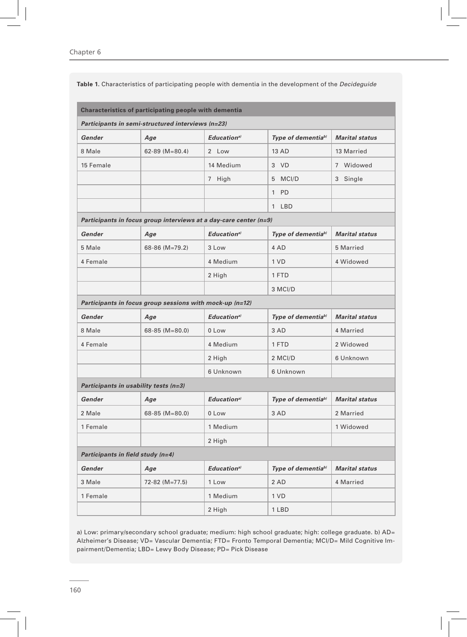Chapter 6

**Table 1.** Characteristics of participating people with dementia in the development of the *Decideguide*

|                                                                   | Characteristics of participating people with dementia |                         |                    |                       |  |  |  |  |  |  |
|-------------------------------------------------------------------|-------------------------------------------------------|-------------------------|--------------------|-----------------------|--|--|--|--|--|--|
| Participants in semi-structured interviews (n=23)                 |                                                       |                         |                    |                       |  |  |  |  |  |  |
| Gender                                                            | Age                                                   | Education <sup>a)</sup> | Type of dementiabl | <b>Marital status</b> |  |  |  |  |  |  |
| 8 Male                                                            | 62-89 ( $M = 80.4$ )                                  | 2 Low                   | 13 AD              | 13 Married            |  |  |  |  |  |  |
| 15 Female                                                         |                                                       | 14 Medium               | 3 VD               | 7 Widowed             |  |  |  |  |  |  |
|                                                                   |                                                       | 7 High                  | MCI/D<br>5         | 3 Single              |  |  |  |  |  |  |
|                                                                   |                                                       |                         | 1 PD               |                       |  |  |  |  |  |  |
|                                                                   |                                                       |                         | 1 LBD              |                       |  |  |  |  |  |  |
| Participants in focus group interviews at a day-care center (n=9) |                                                       |                         |                    |                       |  |  |  |  |  |  |
| Gender                                                            | Age                                                   | <b>Education</b> al     | Type of dementiabl | <b>Marital status</b> |  |  |  |  |  |  |
| 5 Male                                                            | 68-86 (M=79.2)                                        | 3 Low                   | 4 AD               | 5 Married             |  |  |  |  |  |  |
| 4 Female                                                          |                                                       | 4 Medium                | 1 VD               | 4 Widowed             |  |  |  |  |  |  |
|                                                                   |                                                       | 2 High                  | 1 FTD              |                       |  |  |  |  |  |  |
|                                                                   |                                                       |                         | 3 MCI/D            |                       |  |  |  |  |  |  |
| Participants in focus group sessions with mock-up (n=12)          |                                                       |                         |                    |                       |  |  |  |  |  |  |
| Gender                                                            | Age                                                   | <b>Educational</b>      | Type of dementiabl | <b>Marital status</b> |  |  |  |  |  |  |
| 8 Male                                                            | 68-85 (M=80.0)                                        | 0 Low                   | 3 AD               | 4 Married             |  |  |  |  |  |  |
| 4 Female                                                          |                                                       | 4 Medium                | 1 FTD              | 2 Widowed             |  |  |  |  |  |  |
|                                                                   |                                                       | 2 High                  | 2 MCI/D            | 6 Unknown             |  |  |  |  |  |  |
|                                                                   |                                                       | 6 Unknown               | 6 Unknown          |                       |  |  |  |  |  |  |
| Participants in usability tests (n=3)                             |                                                       |                         |                    |                       |  |  |  |  |  |  |
| Gender                                                            | Age                                                   | Education <sup>a)</sup> | Type of dementiabl | <b>Marital status</b> |  |  |  |  |  |  |
| 2 Male                                                            | 68-85 ( $M = 80.0$ )                                  | 0 Low                   | 3 AD               | 2 Married             |  |  |  |  |  |  |
| 1 Female                                                          |                                                       | 1 Medium                |                    | 1 Widowed             |  |  |  |  |  |  |
|                                                                   |                                                       | 2 High                  |                    |                       |  |  |  |  |  |  |
| Participants in field study (n=4)                                 |                                                       |                         |                    |                       |  |  |  |  |  |  |
| Gender                                                            | Age                                                   | <b>Educational</b>      | Type of dementiabl | <b>Marital status</b> |  |  |  |  |  |  |
| 3 Male                                                            | $72-82$ (M=77.5)                                      | 1 Low                   | 2 AD               | 4 Married             |  |  |  |  |  |  |
| 1 Female                                                          |                                                       | 1 Medium                | 1 VD               |                       |  |  |  |  |  |  |
|                                                                   |                                                       | 2 High                  | 1 LBD              |                       |  |  |  |  |  |  |

a) Low: primary/secondary school graduate; medium: high school graduate; high: college graduate. b) AD= Alzheimer's Disease; VD= Vascular Dementia; FTD= Fronto Temporal Dementia; MCI/D= Mild Cognitive Impairment/Dementia; LBD= Lewy Body Disease; PD= Pick Disease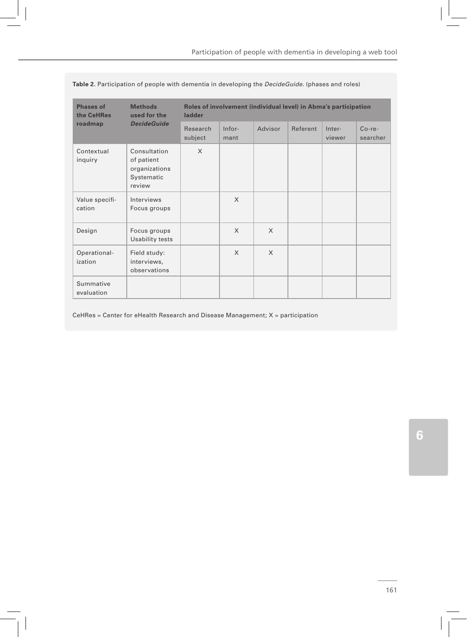| <b>Phases of</b><br>the CeHRes<br>roadmap | <b>Methods</b><br>used for the<br><b>DecideGuide</b>                | Roles of involvement (individual level) in Abma's participation<br>ladder |                  |          |          |                  |                      |  |
|-------------------------------------------|---------------------------------------------------------------------|---------------------------------------------------------------------------|------------------|----------|----------|------------------|----------------------|--|
|                                           |                                                                     | Research<br>subject                                                       | $Infor-$<br>mant | Advisor  | Referent | Inter-<br>viewer | $Co-re-$<br>searcher |  |
| Contextual<br>inquiry                     | Consultation<br>of patient<br>organizations<br>Systematic<br>review | X                                                                         |                  |          |          |                  |                      |  |
| Value specifi-<br>cation                  | Interviews<br>Focus groups                                          |                                                                           | $\times$         |          |          |                  |                      |  |
| Design                                    | Focus groups<br>Usability tests                                     |                                                                           | $\times$         | $\times$ |          |                  |                      |  |
| Operational-<br>ization                   | Field study:<br>interviews,<br>observations                         |                                                                           | $\times$         | $\times$ |          |                  |                      |  |
| Summative<br>evaluation                   |                                                                     |                                                                           |                  |          |          |                  |                      |  |

#### **Table 2.** Participation of people with dementia in developing the *DecideGuide.* (phases and roles)

 $CeHRes = Center for eHealth Research and Disease Management; X = participation$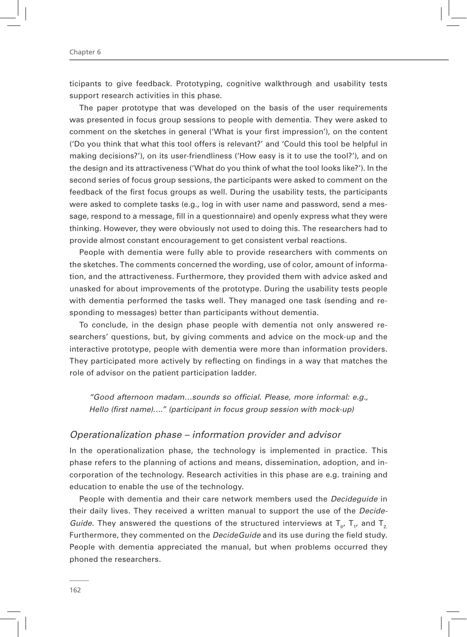ticipants to give feedback. Prototyping, cognitive walkthrough and usability tests support research activities in this phase.

The paper prototype that was developed on the basis of the user requirements was presented in focus group sessions to people with dementia. They were asked to comment on the sketches in general ('What is your first impression'), on the content ('Do you think that what this tool offers is relevant?' and 'Could this tool be helpful in making decisions?'), on its user-friendliness ('How easy is it to use the tool?'), and on the design and its attractiveness ('What do you think of what the tool looks like?'). In the second series of focus group sessions, the participants were asked to comment on the feedback of the first focus groups as well. During the usability tests, the participants were asked to complete tasks (e.g., log in with user name and password, send a message, respond to a message, fill in a questionnaire) and openly express what they were thinking. However, they were obviously not used to doing this. The researchers had to provide almost constant encouragement to get consistent verbal reactions.

People with dementia were fully able to provide researchers with comments on the sketches. The comments concerned the wording, use of color, amount of information, and the attractiveness. Furthermore, they provided them with advice asked and unasked for about improvements of the prototype. During the usability tests people with dementia performed the tasks well. They managed one task (sending and responding to messages) better than participants without dementia.

To conclude, in the design phase people with dementia not only answered researchers' questions, but, by giving comments and advice on the mock-up and the interactive prototype, people with dementia were more than information providers. They participated more actively by reflecting on findings in a way that matches the role of advisor on the patient participation ladder.

*"Good afternoon madam…sounds so official. Please, more informal: e.g., Hello (first name)…." (participant in focus group session with mock-up)*

#### *Operationalization phase – information provider and advisor*

In the operationalization phase, the technology is implemented in practice. This phase refers to the planning of actions and means, dissemination, adoption, and incorporation of the technology. Research activities in this phase are e.g. training and education to enable the use of the technology.

People with dementia and their care network members used the *Decideguide* in their daily lives. They received a written manual to support the use of the *Decide-Guide*. They answered the questions of the structured interviews at  $T_{0}$ ,  $T_{1}$ , and  $T_{2}$ Furthermore, they commented on the *DecideGuide* and its use during the field study. People with dementia appreciated the manual, but when problems occurred they phoned the researchers.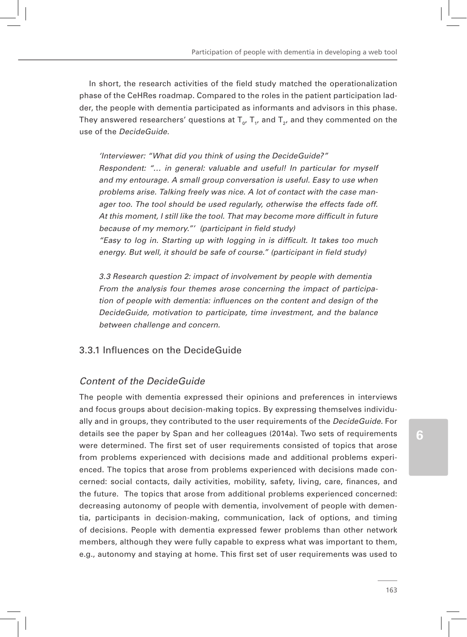In short, the research activities of the field study matched the operationalization phase of the CeHRes roadmap. Compared to the roles in the patient participation ladder, the people with dementia participated as informants and advisors in this phase. They answered researchers' questions at  ${\sf T}_{{}_{0'}}$   ${\sf T}_{{}_{1'}}$  and  ${\sf T}_{{}_{2'}}$  and they commented on the use of the *DecideGuide*.

*'Interviewer: "What did you think of using the DecideGuide?" Respondent: "… in general: valuable and useful! In particular for myself and my entourage. A small group conversation is useful. Easy to use when problems arise. Talking freely was nice. A lot of contact with the case manager too. The tool should be used regularly, otherwise the effects fade off. At this moment, I still like the tool. That may become more difficult in future because of my memory."' (participant in field study)*

*"Easy to log in. Starting up with logging in is difficult. It takes too much energy. But well, it should be safe of course." (participant in field study)*

*3.3 Research question 2: impact of involvement by people with dementia From the analysis four themes arose concerning the impact of participation of people with dementia: influences on the content and design of the DecideGuide, motivation to participate, time investment, and the balance between challenge and concern.*

#### 3.3.1 Influences on the DecideGuide

#### *Content of the DecideGuide*

The people with dementia expressed their opinions and preferences in interviews and focus groups about decision-making topics. By expressing themselves individually and in groups, they contributed to the user requirements of the *DecideGuide.* For details see the paper by Span and her colleagues (2014a). Two sets of requirements were determined. The first set of user requirements consisted of topics that arose from problems experienced with decisions made and additional problems experienced. The topics that arose from problems experienced with decisions made concerned: social contacts, daily activities, mobility, safety, living, care, finances, and the future. The topics that arose from additional problems experienced concerned: decreasing autonomy of people with dementia, involvement of people with dementia, participants in decision-making, communication, lack of options, and timing of decisions. People with dementia expressed fewer problems than other network members, although they were fully capable to express what was important to them, e.g., autonomy and staying at home. This first set of user requirements was used to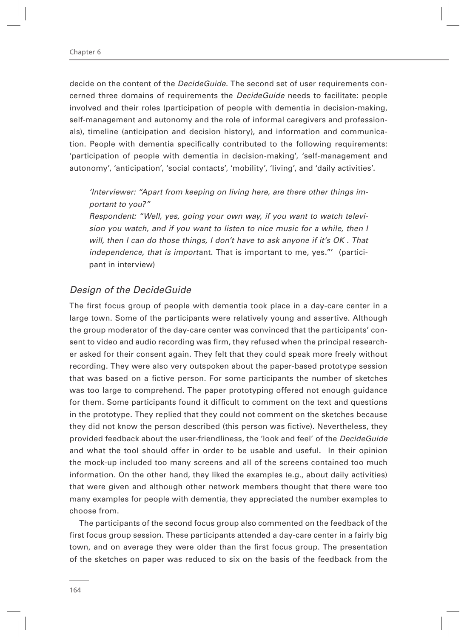decide on the content of the *DecideGuide*. The second set of user requirements concerned three domains of requirements the *DecideGuide* needs to facilitate: people involved and their roles (participation of people with dementia in decision-making, self-management and autonomy and the role of informal caregivers and professionals), timeline (anticipation and decision history), and information and communication. People with dementia specifically contributed to the following requirements: 'participation of people with dementia in decision-making', 'self-management and autonomy', 'anticipation', 'social contacts', 'mobility', 'living', and 'daily activities'.

*'Interviewer: "Apart from keeping on living here, are there other things important to you?"*

*Respondent: "Well, yes, going your own way, if you want to watch television you watch, and if you want to listen to nice music for a while, then I will, then I can do those things, I don't have to ask anyone if it's OK . That independence, that is import*ant. That is important to me, yes."' (participant in interview)

#### *Design of the DecideGuide*

The first focus group of people with dementia took place in a day-care center in a large town. Some of the participants were relatively young and assertive. Although the group moderator of the day-care center was convinced that the participants' consent to video and audio recording was firm, they refused when the principal researcher asked for their consent again. They felt that they could speak more freely without recording. They were also very outspoken about the paper-based prototype session that was based on a fictive person. For some participants the number of sketches was too large to comprehend. The paper prototyping offered not enough guidance for them. Some participants found it difficult to comment on the text and questions in the prototype. They replied that they could not comment on the sketches because they did not know the person described (this person was fictive). Nevertheless, they provided feedback about the user-friendliness, the 'look and feel' of the *DecideGuide*  and what the tool should offer in order to be usable and useful. In their opinion the mock-up included too many screens and all of the screens contained too much information. On the other hand, they liked the examples (e.g., about daily activities) that were given and although other network members thought that there were too many examples for people with dementia, they appreciated the number examples to choose from.

The participants of the second focus group also commented on the feedback of the first focus group session. These participants attended a day-care center in a fairly big town, and on average they were older than the first focus group. The presentation of the sketches on paper was reduced to six on the basis of the feedback from the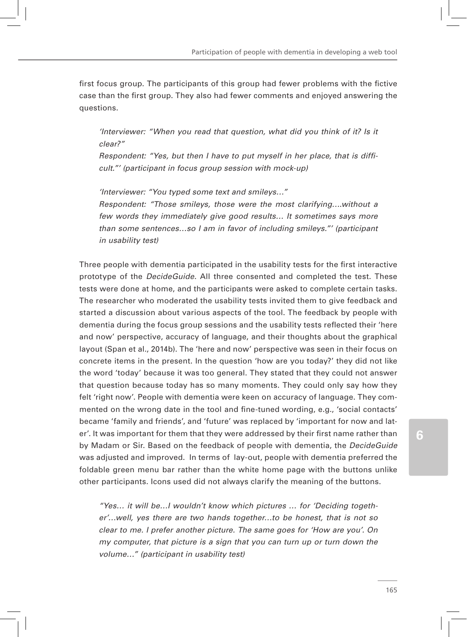first focus group. The participants of this group had fewer problems with the fictive case than the first group. They also had fewer comments and enjoyed answering the questions.

*'Interviewer: "When you read that question, what did you think of it? Is it clear?"*

*Respondent: "Yes, but then I have to put myself in her place, that is difficult."' (participant in focus group session with mock-up)*

*'Interviewer: "You typed some text and smileys…" Respondent: "Those smileys, those were the most clarifying….without a few words they immediately give good results… It sometimes says more than some sentences…so I am in favor of including smileys."' (participant in usability test)* 

Three people with dementia participated in the usability tests for the first interactive prototype of the *DecideGuide*. All three consented and completed the test. These tests were done at home, and the participants were asked to complete certain tasks. The researcher who moderated the usability tests invited them to give feedback and started a discussion about various aspects of the tool. The feedback by people with dementia during the focus group sessions and the usability tests reflected their 'here and now' perspective, accuracy of language, and their thoughts about the graphical layout (Span et al., 2014b). The 'here and now' perspective was seen in their focus on concrete items in the present. In the question 'how are you today?' they did not like the word 'today' because it was too general. They stated that they could not answer that question because today has so many moments. They could only say how they felt 'right now'. People with dementia were keen on accuracy of language. They commented on the wrong date in the tool and fine-tuned wording, e.g., 'social contacts' became 'family and friends', and 'future' was replaced by 'important for now and later'. It was important for them that they were addressed by their first name rather than by Madam or Sir. Based on the feedback of people with dementia, the *DecideGuide*  was adjusted and improved. In terms of lay-out, people with dementia preferred the foldable green menu bar rather than the white home page with the buttons unlike other participants. Icons used did not always clarify the meaning of the buttons.

*"Yes… it will be…I wouldn't know which pictures … for 'Deciding together'…well, yes there are two hands together…to be honest, that is not so clear to me. I prefer another picture. The same goes for 'How are you'. On my computer, that picture is a sign that you can turn up or turn down the volume…" (participant in usability test)*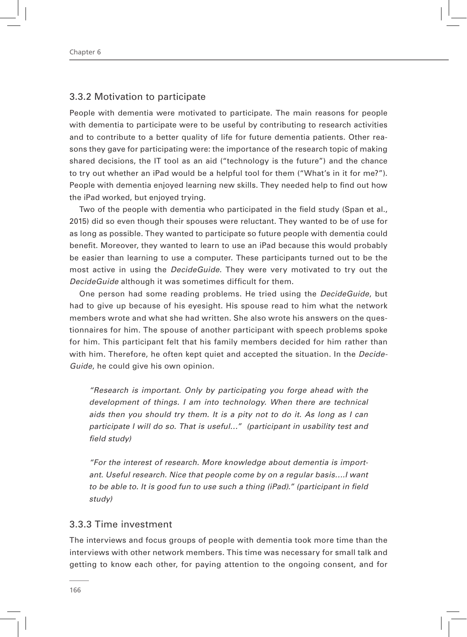#### 3.3.2 Motivation to participate

People with dementia were motivated to participate. The main reasons for people with dementia to participate were to be useful by contributing to research activities and to contribute to a better quality of life for future dementia patients. Other reasons they gave for participating were: the importance of the research topic of making shared decisions, the IT tool as an aid ("technology is the future") and the chance to try out whether an iPad would be a helpful tool for them ("What's in it for me?"). People with dementia enjoyed learning new skills. They needed help to find out how the iPad worked, but enjoyed trying.

Two of the people with dementia who participated in the field study (Span et al., 2015) did so even though their spouses were reluctant. They wanted to be of use for as long as possible. They wanted to participate so future people with dementia could benefit. Moreover, they wanted to learn to use an iPad because this would probably be easier than learning to use a computer. These participants turned out to be the most active in using the *DecideGuide.* They were very motivated to try out the *DecideGuide* although it was sometimes difficult for them.

One person had some reading problems. He tried using the *DecideGuide*, but had to give up because of his eyesight. His spouse read to him what the network members wrote and what she had written. She also wrote his answers on the questionnaires for him. The spouse of another participant with speech problems spoke for him. This participant felt that his family members decided for him rather than with him. Therefore, he often kept quiet and accepted the situation. In the *Decide-Guide*, he could give his own opinion.

*"Research is important. Only by participating you forge ahead with the development of things. I am into technology. When there are technical aids then you should try them. It is a pity not to do it. As long as I can participate I will do so. That is useful…" (participant in usability test and field study)*

*"For the interest of research. More knowledge about dementia is important. Useful research. Nice that people come by on a regular basis….I want to be able to. It is good fun to use such a thing (iPad)." (participant in field study)*

#### 3.3.3 Time investment

The interviews and focus groups of people with dementia took more time than the interviews with other network members. This time was necessary for small talk and getting to know each other, for paying attention to the ongoing consent, and for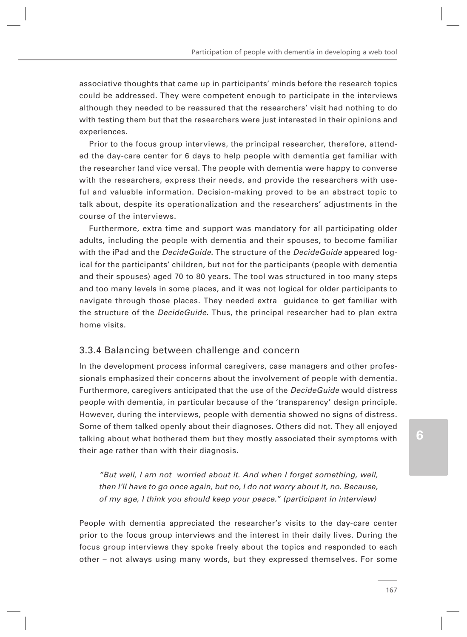associative thoughts that came up in participants' minds before the research topics could be addressed. They were competent enough to participate in the interviews although they needed to be reassured that the researchers' visit had nothing to do with testing them but that the researchers were just interested in their opinions and experiences.

Prior to the focus group interviews, the principal researcher, therefore, attended the day-care center for 6 days to help people with dementia get familiar with the researcher (and vice versa). The people with dementia were happy to converse with the researchers, express their needs, and provide the researchers with useful and valuable information. Decision-making proved to be an abstract topic to talk about, despite its operationalization and the researchers' adjustments in the course of the interviews.

Furthermore, extra time and support was mandatory for all participating older adults, including the people with dementia and their spouses, to become familiar with the iPad and the *DecideGuide.* The structure of the *DecideGuide* appeared logical for the participants' children, but not for the participants (people with dementia and their spouses) aged 70 to 80 years. The tool was structured in too many steps and too many levels in some places, and it was not logical for older participants to navigate through those places. They needed extra guidance to get familiar with the structure of the *DecideGuide.* Thus, the principal researcher had to plan extra home visits.

#### 3.3.4 Balancing between challenge and concern

In the development process informal caregivers, case managers and other professionals emphasized their concerns about the involvement of people with dementia. Furthermore, caregivers anticipated that the use of the *DecideGuide* would distress people with dementia, in particular because of the 'transparency' design principle. However, during the interviews, people with dementia showed no signs of distress. Some of them talked openly about their diagnoses. Others did not. They all enjoyed talking about what bothered them but they mostly associated their symptoms with their age rather than with their diagnosis.

*"But well, I am not worried about it. And when I forget something, well, then I'll have to go once again, but no, I do not worry about it, no. Because, of my age, I think you should keep your peace." (participant in interview)*

People with dementia appreciated the researcher's visits to the day-care center prior to the focus group interviews and the interest in their daily lives. During the focus group interviews they spoke freely about the topics and responded to each other – not always using many words, but they expressed themselves. For some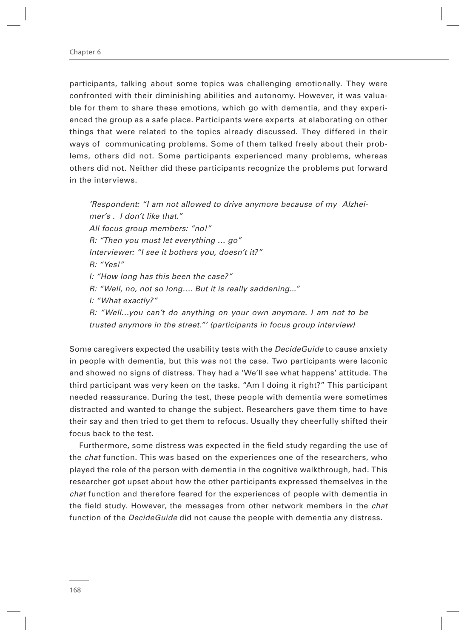participants, talking about some topics was challenging emotionally. They were confronted with their diminishing abilities and autonomy. However, it was valuable for them to share these emotions, which go with dementia, and they experienced the group as a safe place. Participants were experts at elaborating on other things that were related to the topics already discussed. They differed in their ways of communicating problems. Some of them talked freely about their problems, others did not. Some participants experienced many problems, whereas others did not. Neither did these participants recognize the problems put forward in the interviews.

*'Respondent: "I am not allowed to drive anymore because of my Alzheimer's . I don't like that." All focus group members: "no!" R: "Then you must let everything … go" Interviewer: "I see it bothers you, doesn't it?" R: "Yes!" I: "How long has this been the case?" R: "Well, no, not so long…. But it is really saddening..." I: "What exactly?" R: "Well…you can't do anything on your own anymore. I am not to be trusted anymore in the street."' (participants in focus group interview)*

Some caregivers expected the usability tests with the *DecideGuide* to cause anxiety in people with dementia, but this was not the case. Two participants were laconic and showed no signs of distress. They had a 'We'll see what happens' attitude. The third participant was very keen on the tasks. "Am I doing it right?" This participant needed reassurance. During the test, these people with dementia were sometimes distracted and wanted to change the subject. Researchers gave them time to have their say and then tried to get them to refocus. Usually they cheerfully shifted their focus back to the test.

Furthermore, some distress was expected in the field study regarding the use of the *chat* function. This was based on the experiences one of the researchers, who played the role of the person with dementia in the cognitive walkthrough, had. This researcher got upset about how the other participants expressed themselves in the *chat* function and therefore feared for the experiences of people with dementia in the field study. However, the messages from other network members in the *chat* function of the *DecideGuide* did not cause the people with dementia any distress.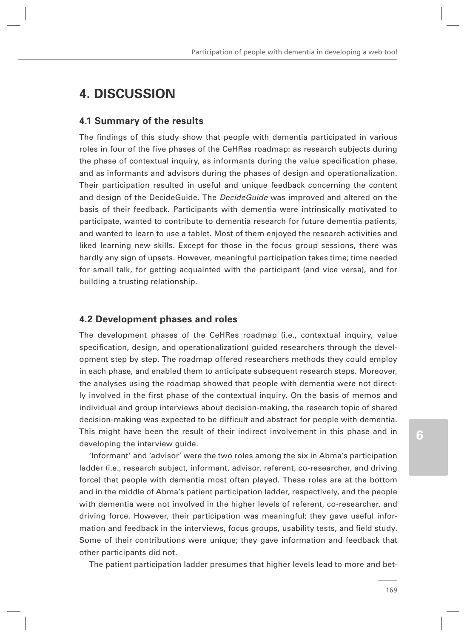## **4. DISCUSSION**

#### **4.1 Summary of the results**

The findings of this study show that people with dementia participated in various roles in four of the five phases of the CeHRes roadmap: as research subjects during the phase of contextual inquiry, as informants during the value specification phase, and as informants and advisors during the phases of design and operationalization. Their participation resulted in useful and unique feedback concerning the content and design of the DecideGuide. The *DecideGuide* was improved and altered on the basis of their feedback. Participants with dementia were intrinsically motivated to participate, wanted to contribute to dementia research for future dementia patients, and wanted to learn to use a tablet. Most of them enjoyed the research activities and liked learning new skills. Except for those in the focus group sessions, there was hardly any sign of upsets. However, meaningful participation takes time; time needed for small talk, for getting acquainted with the participant (and vice versa), and for building a trusting relationship.

#### **4.2 Development phases and roles**

The development phases of the CeHRes roadmap (i.e., contextual inquiry, value specification, design, and operationalization) guided researchers through the development step by step. The roadmap offered researchers methods they could employ in each phase, and enabled them to anticipate subsequent research steps. Moreover, the analyses using the roadmap showed that people with dementia were not directly involved in the first phase of the contextual inquiry. On the basis of memos and individual and group interviews about decision-making, the research topic of shared decision-making was expected to be difficult and abstract for people with dementia. This might have been the result of their indirect involvement in this phase and in developing the interview guide.

'Informant' and 'advisor' were the two roles among the six in Abma's participation ladder (i.e., research subject, informant, advisor, referent, co-researcher, and driving force) that people with dementia most often played. These roles are at the bottom and in the middle of Abma's patient participation ladder, respectively, and the people with dementia were not involved in the higher levels of referent, co-researcher, and driving force. However, their participation was meaningful; they gave useful information and feedback in the interviews, focus groups, usability tests, and field study. Some of their contributions were unique; they gave information and feedback that other participants did not.

The patient participation ladder presumes that higher levels lead to more and bet-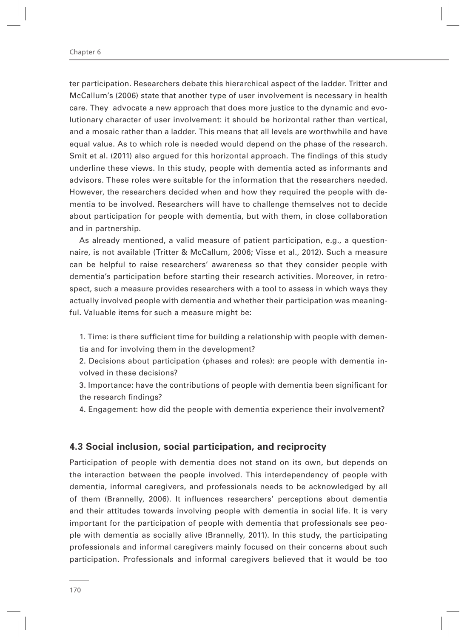#### Chapter 6

ter participation. Researchers debate this hierarchical aspect of the ladder. Tritter and McCallum's (2006) state that another type of user involvement is necessary in health care. They advocate a new approach that does more justice to the dynamic and evolutionary character of user involvement: it should be horizontal rather than vertical, and a mosaic rather than a ladder. This means that all levels are worthwhile and have equal value. As to which role is needed would depend on the phase of the research. Smit et al. (2011) also argued for this horizontal approach. The findings of this study underline these views. In this study, people with dementia acted as informants and advisors. These roles were suitable for the information that the researchers needed. However, the researchers decided when and how they required the people with dementia to be involved. Researchers will have to challenge themselves not to decide about participation for people with dementia, but with them, in close collaboration and in partnership.

As already mentioned, a valid measure of patient participation, e.g., a questionnaire, is not available (Tritter & McCallum, 2006; Visse et al., 2012). Such a measure can be helpful to raise researchers' awareness so that they consider people with dementia's participation before starting their research activities. Moreover, in retrospect, such a measure provides researchers with a tool to assess in which ways they actually involved people with dementia and whether their participation was meaningful. Valuable items for such a measure might be:

1. Time: is there sufficient time for building a relationship with people with dementia and for involving them in the development?

2. Decisions about participation (phases and roles): are people with dementia involved in these decisions?

3. Importance: have the contributions of people with dementia been significant for the research findings?

4. Engagement: how did the people with dementia experience their involvement?

#### **4.3 Social inclusion, social participation, and reciprocity**

Participation of people with dementia does not stand on its own, but depends on the interaction between the people involved. This interdependency of people with dementia, informal caregivers, and professionals needs to be acknowledged by all of them (Brannelly, 2006). It influences researchers' perceptions about dementia and their attitudes towards involving people with dementia in social life. It is very important for the participation of people with dementia that professionals see people with dementia as socially alive (Brannelly, 2011). In this study, the participating professionals and informal caregivers mainly focused on their concerns about such participation. Professionals and informal caregivers believed that it would be too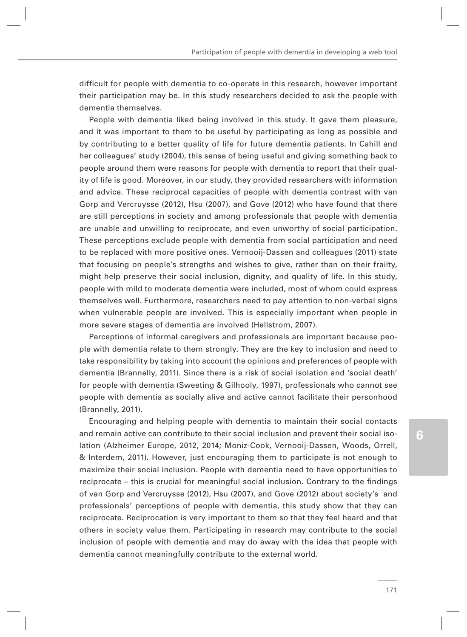difficult for people with dementia to co-operate in this research, however important their participation may be. In this study researchers decided to ask the people with dementia themselves.

People with dementia liked being involved in this study. It gave them pleasure, and it was important to them to be useful by participating as long as possible and by contributing to a better quality of life for future dementia patients. In Cahill and her colleagues' study (2004), this sense of being useful and giving something back to people around them were reasons for people with dementia to report that their quality of life is good. Moreover, in our study, they provided researchers with information and advice. These reciprocal capacities of people with dementia contrast with van Gorp and Vercruysse (2012), Hsu (2007), and Gove (2012) who have found that there are still perceptions in society and among professionals that people with dementia are unable and unwilling to reciprocate, and even unworthy of social participation*.*  These perceptions exclude people with dementia from social participation and need to be replaced with more positive ones. Vernooij-Dassen and colleagues (2011) state that focusing on people's strengths and wishes to give, rather than on their frailty, might help preserve their social inclusion, dignity, and quality of life. In this study, people with mild to moderate dementia were included, most of whom could express themselves well. Furthermore, researchers need to pay attention to non-verbal signs when vulnerable people are involved. This is especially important when people in more severe stages of dementia are involved (Hellstrom, 2007).

Perceptions of informal caregivers and professionals are important because people with dementia relate to them strongly. They are the key to inclusion and need to take responsibility by taking into account the opinions and preferences of people with dementia (Brannelly, 2011). Since there is a risk of social isolation and 'social death' for people with dementia (Sweeting & Gilhooly, 1997), professionals who cannot see people with dementia as socially alive and active cannot facilitate their personhood (Brannelly, 2011).

Encouraging and helping people with dementia to maintain their social contacts and remain active can contribute to their social inclusion and prevent their social isolation (Alzheimer Europe, 2012, 2014; Moniz-Cook, Vernooij-Dassen, Woods, Orrell, & Interdem, 2011). However, just encouraging them to participate is not enough to maximize their social inclusion. People with dementia need to have opportunities to reciprocate – this is crucial for meaningful social inclusion. Contrary to the findings of van Gorp and Vercruysse (2012), Hsu (2007), and Gove (2012) about society's and professionals' perceptions of people with dementia, this study show that they can reciprocate. Reciprocation is very important to them so that they feel heard and that others in society value them. Participating in research may contribute to the social inclusion of people with dementia and may do away with the idea that people with dementia cannot meaningfully contribute to the external world.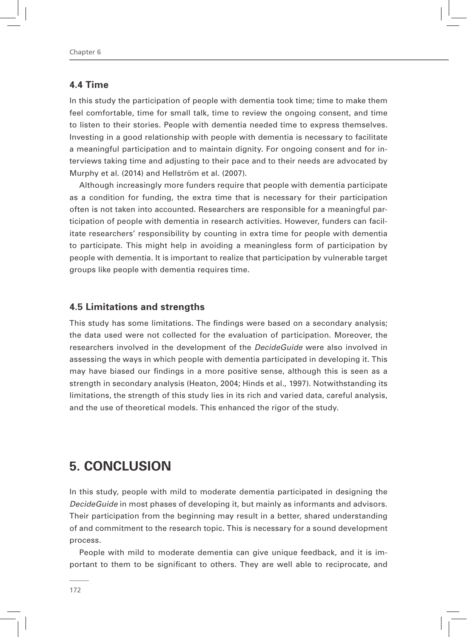#### **4.4 Time**

In this study the participation of people with dementia took time; time to make them feel comfortable, time for small talk, time to review the ongoing consent, and time to listen to their stories. People with dementia needed time to express themselves. Investing in a good relationship with people with dementia is necessary to facilitate a meaningful participation and to maintain dignity. For ongoing consent and for interviews taking time and adjusting to their pace and to their needs are advocated by Murphy et al. (2014) and Hellström et al. (2007).

Although increasingly more funders require that people with dementia participate as a condition for funding, the extra time that is necessary for their participation often is not taken into accounted. Researchers are responsible for a meaningful participation of people with dementia in research activities. However, funders can facilitate researchers' responsibility by counting in extra time for people with dementia to participate. This might help in avoiding a meaningless form of participation by people with dementia. It is important to realize that participation by vulnerable target groups like people with dementia requires time.

#### **4.5 Limitations and strengths**

This study has some limitations. The findings were based on a secondary analysis; the data used were not collected for the evaluation of participation. Moreover, the researchers involved in the development of the *DecideGuide* were also involved in assessing the ways in which people with dementia participated in developing it. This may have biased our findings in a more positive sense, although this is seen as a strength in secondary analysis (Heaton, 2004; Hinds et al., 1997). Notwithstanding its limitations, the strength of this study lies in its rich and varied data, careful analysis, and the use of theoretical models. This enhanced the rigor of the study.

### **5. CONCLUSION**

In this study, people with mild to moderate dementia participated in designing the *DecideGuide* in most phases of developing it, but mainly as informants and advisors. Their participation from the beginning may result in a better, shared understanding of and commitment to the research topic. This is necessary for a sound development process.

People with mild to moderate dementia can give unique feedback, and it is important to them to be significant to others. They are well able to reciprocate, and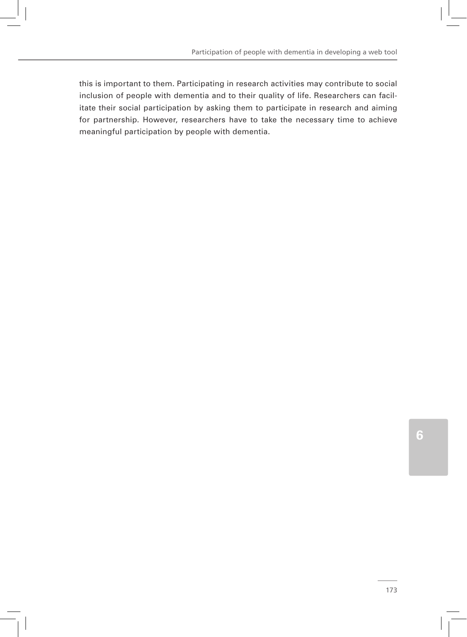this is important to them. Participating in research activities may contribute to social inclusion of people with dementia and to their quality of life. Researchers can facilitate their social participation by asking them to participate in research and aiming for partnership. However, researchers have to take the necessary time to achieve meaningful participation by people with dementia.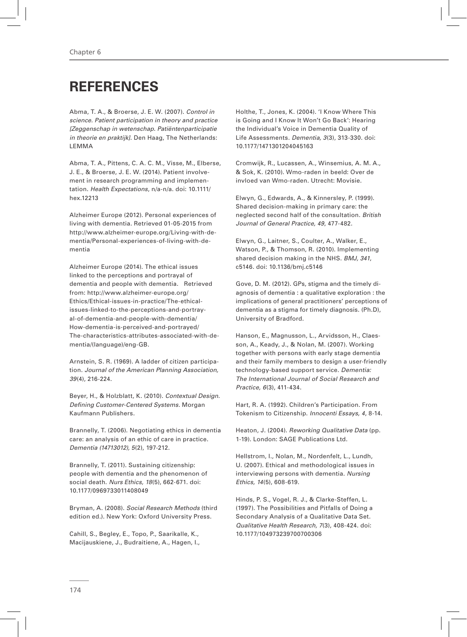## **REFERENCES**

Abma, T. A., & Broerse, J. E. W. (2007). *Control in science. Patient participation in theory and practice [Zeggenschap in wetenschap. Patiëntenparticipatie in theorie en praktijk]*. Den Haag, The Netherlands: LEMMA

Abma, T. A., Pittens, C. A. C. M., Visse, M., Elberse, J. E., & Broerse, J. E. W. (2014). Patient involvement in research programming and implementation. *Health Expectations*, n/a-n/a. doi: 10.1111/ hex.12213

Alzheimer Europe (2012). Personal experiences of living with dementia. Retrieved 01-05-2015 from http://www.alzheimer-europe.org/Living-with-dementia/Personal-experiences-of-living-with-dementia

Alzheimer Europe (2014). The ethical issues linked to the perceptions and portrayal of dementia and people with dementia. Retrieved from: http://www.alzheimer-europe.org/ Ethics/Ethical-issues-in-practice/The-ethicalissues-linked-to-the-perceptions-and-portrayal-of-dementia-and-people-with-dementia/ How-dementia-is-perceived-and-portrayed/ The-characteristics-attributes-associated-with-dementia/(language)/eng-GB.

Arnstein, S. R. (1969). A ladder of citizen participation. *Journal of the American Planning Association, 39*(4), 216-224.

Beyer, H., & Holzblatt, K. (2010). *Contextual Design. Defining Customer-Centered Systems.* Morgan Kaufmann Publishers.

Brannelly, T. (2006). Negotiating ethics in dementia care: an analysis of an ethic of care in practice. *Dementia (14713012), 5*(2), 197-212.

Brannelly, T. (2011). Sustaining citizenship: people with dementia and the phenomenon of social death. *Nurs Ethics, 18*(5), 662-671. doi: 10.1177/0969733011408049

Bryman, A. (2008). *Social Research Methods* (third edition ed.). New York: Oxford University Press.

Cahill, S., Begley, E., Topo, P., Saarikalle, K., Macijauskiene, J., Budraitiene, A., Hagen, I., Holthe, T., Jones, K. (2004). 'I Know Where This is Going and I Know It Won't Go Back': Hearing the Individual's Voice in Dementia Quality of Life Assessments. *Dementia, 3*(3), 313-330. doi: 10.1177/1471301204045163

Cromwijk, R., Lucassen, A., Winsemius, A. M. A., & Sok, K. (2010). Wmo-raden in beeld: Over de invloed van Wmo-raden. Utrecht: Movisie.

Elwyn, G., Edwards, A., & Kinnersley, P. (1999). Shared decision-making in primary care: the neglected second half of the consultation. *British Journal of General Practice, 49*, 477-482.

Elwyn, G., Laitner, S., Coulter, A., Walker, E., Watson, P., & Thomson, R. (2010). Implementing shared decision making in the NHS. *BMJ, 341*, c5146. doi: 10.1136/bmj.c5146

Gove, D. M. (2012). GPs, stigma and the timely diagnosis of dementia : a qualitative exploration : the implications of general practitioners' perceptions of dementia as a stigma for timely diagnosis. (Ph.D), University of Bradford.

Hanson, E., Magnusson, L., Arvidsson, H., Claesson, A., Keady, J., & Nolan, M. (2007). Working together with persons with early stage dementia and their family members to design a user-friendly technology-based support service. *Dementia: The International Journal of Social Research and Practice, 6*(3), 411-434.

Hart, R. A. (1992). Children's Participation. From Tokenism to Citizenship. *Innocenti Essays, 4*, 8-14.

Heaton, J. (2004). *Reworking Qualitative Data* (pp. 1-19). London: SAGE Publications Ltd.

Hellstrom, I., Nolan, M., Nordenfelt, L., Lundh, U. (2007). Ethical and methodological issues in interviewing persons with dementia. *Nursing Ethics, 14*(5), 608-619.

Hinds, P. S., Vogel, R. J., & Clarke-Steffen, L. (1997). The Possibilities and Pitfalls of Doing a Secondary Analysis of a Qualitative Data Set. *Qualitative Health Research, 7*(3), 408-424. doi: 10.1177/104973239700700306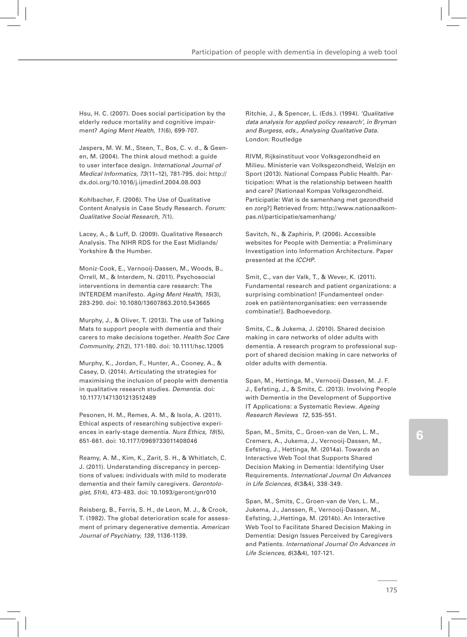Hsu, H. C. (2007). Does social participation by the elderly reduce mortality and cognitive impairment? *Aging Ment Health, 11*(6), 699-707.

Jaspers, M. W. M., Steen, T., Bos, C. v. d., & Geenen, M. (2004). The think aloud method: a guide to user interface design. *International Journal of Medical Informatics, 73*(11–12), 781-795. doi: http:// dx.doi.org/10.1016/j.ijmedinf.2004.08.003

Kohlbacher, F. (2006). The Use of Qualitative Content Analysis in Case Study Research. *Forum: Qualitative Social Research, 7*(1).

Lacey, A., & Luff, D. (2009). Qualitative Research Analysis. The NIHR RDS for the East Midlands/ Yorkshire & the Humber.

Moniz-Cook, E., Vernooij-Dassen, M., Woods, B., Orrell, M., & Interdem, N. (2011). Psychosocial interventions in dementia care research: The INTERDEM manifesto. *Aging Ment Health, 15*(3), 283-290. doi: 10.1080/13607863.2010.543665

Murphy, J., & Oliver, T. (2013). The use of Talking Mats to support people with dementia and their carers to make decisions together. *Health Soc Care Community, 21*(2), 171-180. doi: 10.1111/hsc.12005

Murphy, K., Jordan, F., Hunter, A., Cooney, A., & Casey, D. (2014). Articulating the strategies for maximising the inclusion of people with dementia in qualitative research studies. *Dementia*. doi: 10.1177/1471301213512489

Pesonen, H. M., Remes, A. M., & Isola, A. (2011). Ethical aspects of researching subjective experiences in early-stage dementia. *Nurs Ethics, 18*(5), 651-661. doi: 10.1177/0969733011408046

Reamy, A. M., Kim, K., Zarit, S. H., & Whitlatch, C. J. (2011). Understanding discrepancy in perceptions of values: individuals with mild to moderate dementia and their family caregivers. *Gerontologist, 51*(4), 473-483. doi: 10.1093/geront/gnr010

Reisberg, B., Ferris, S. H., de Leon, M. J., & Crook, T. (1982). The global deterioration scale for assessment of primary degenerative dementia. *American Journal of Psychiatry, 139*, 1136-1139.

Ritchie, J., & Spencer, L. (Eds.). (1994). *'Qualitative data analysis for applied policy research', in Bryman and Burgess, eds., Analysing Qualitative Data*. London: Routledge

RIVM, Rijksinstituut voor Volksgezondheid en Milieu. Ministerie van Volksgezondheid, Welzijn en Sport (2013). National Compass Public Health. Participation: What is the relationship between health and care? [Nationaal Kompas Volksgezondheid. Participatie: Wat is de samenhang met gezondheid en zorg?] Retrieved from: http://www.nationaalkompas.nl/participatie/samenhang/

Savitch, N., & Zaphiris, P. (2006). Accessible websites for People with Dementia: a Preliminary Investigation into Information Architecture*.* Paper presented at the *ICCHP*.

Smit, C., van der Valk, T., & Wever, K. (2011). Fundamental research and patient organizations: a surprising combination! [Fundamenteel onderzoek en patiëntenorganisaties: een verrassende combinatie!]. Badhoevedorp.

Smits, C., & Jukema, J. (2010). Shared decision making in care networks of older adults with dementia. A research program to professional support of shared decision making in care networks of older adults with dementia.

Span, M., Hettinga, M., Vernooij-Dassen, M. J. F. J., Eefsting, J., & Smits, C. (2013). Involving People with Dementia in the Development of Supportive IT Applications: a Systematic Review. *Ageing Research Reviews 12*, 535-551.

Span, M., Smits, C., Groen-van de Ven, L. M., Cremers, A., Jukema, J., Vernooij-Dassen, M., Eefsting, J., Hettinga, M. (2014a). Towards an Interactive Web Tool that Supports Shared Decision Making in Dementia: Identifying User Requirements. *International Journal On Advances in Life Sciences, 6*(3&4), 338-349.

Span, M., Smits, C., Groen-van de Ven, L. M., Jukema, J., Janssen, R., Vernooij-Dassen, M., Eefsting, J.,Hettinga, M. (2014b). An Interactive Web Tool to Facilitate Shared Decision Making in Dementia: Design Issues Perceived by Caregivers and Patients. *International Journal On Advances in Life Sciences, 6*(3&4), 107-121.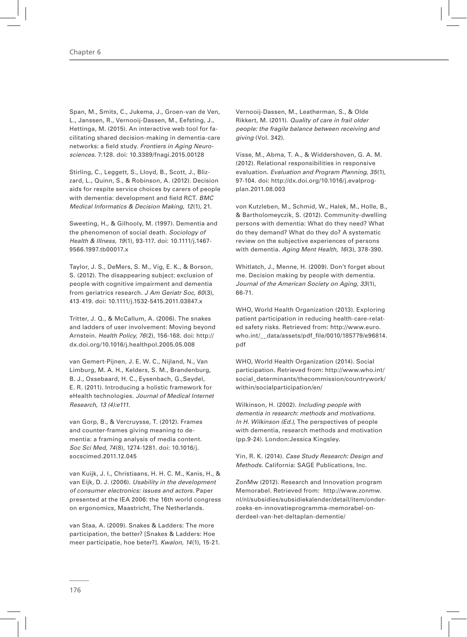Span, M., Smits, C., Jukema, J., Groen-van de Ven, L., Janssen, R., Vernooij-Dassen, M., Eefsting, J., Hettinga, M. (2015). An interactive web tool for facilitating shared decision-making in dementia-care networks: a field study. *Frontiers in Aging Neurosciences.* 7:128. doi: 10.3389/fnagi.2015.00128

Stirling, C., Leggett, S., Lloyd, B., Scott, J., Blizzard, L., Quinn, S., & Robinson, A. (2012). Decision aids for respite service choices by carers of people with dementia: development and field RCT. *BMC Medical Informatics & Decision Making, 12*(1), 21.

Sweeting, H., & Gilhooly, M. (1997). Dementia and the phenomenon of social death. *Sociology of Health & Illness, 19*(1), 93-117. doi: 10.1111/j.1467- 9566.1997.tb00017.x

Taylor, J. S., DeMers, S. M., Vig, E. K., & Borson, S. (2012). The disappearing subject: exclusion of people with cognitive impairment and dementia from geriatrics research. *J Am Geriatr Soc, 60*(3), 413-419. doi: 10.1111/j.1532-5415.2011.03847.x

Tritter, J. Q., & McCallum, A. (2006). The snakes and ladders of user involvement: Moving beyond Arnstein. *Health Policy, 76*(2), 156-168. doi: http:// dx.doi.org/10.1016/j.healthpol.2005.05.008

van Gemert-Pijnen, J. E. W. C., Nijland, N., Van Limburg, M. A. H., Kelders, S. M., Brandenburg, B. J., Ossebaard, H. C., Eysenbach, G.,Seydel, E. R. (2011). Introducing a holistic framework for eHealth technologies. *Journal of Medical Internet Research, 13 (4):e111*.

van Gorp, B., & Vercruysse, T. (2012). Frames and counter-frames giving meaning to dementia: a framing analysis of media content. *Soc Sci Med, 74*(8), 1274-1281. doi: 10.1016/j. socscimed.2011.12.045

van Kuijk, J. I., Christiaans, H. H. C. M., Kanis, H., & van Eijk, D. J. (2006). *Usability in the development of consumer electronics: issues and actors.* Paper presented at the IEA 2006: the 16th world congress on ergonomics, Maastricht, The Netherlands.

van Staa, A. (2009). Snakes & Ladders: The more participation, the better? [Snakes & Ladders: Hoe meer participatie, hoe beter?]. *Kwalon, 14*(1), 15-21. Vernooij-Dassen, M., Leatherman, S., & Olde Rikkert, M. (2011). *Quality of care in frail older people: the fragile balance between receiving and giving* (Vol. 342).

Visse, M., Abma, T. A., & Widdershoven, G. A. M. (2012). Relational responsibilities in responsive evaluation. *Evaluation and Program Planning, 35*(1), 97-104. doi: http://dx.doi.org/10.1016/j.evalprogplan.2011.08.003

von Kutzleben, M., Schmid, W., Halek, M., Holle, B., & Bartholomeyczik, S. (2012). Community-dwelling persons with dementia: What do they need? What do they demand? What do they do? A systematic review on the subjective experiences of persons with dementia. *Aging Ment Health, 16*(3), 378-390.

Whitlatch, J., Menne, H. (2009). Don't forget about me. Decision making by people with dementia. *Journal of the American Society on Aging, 33*(1), 66-71.

WHO, World Health Organization (2013). Exploring patient participation in reducing health-care-related safety risks. Retrieved from: http://www.euro. who.int/\_\_data/assets/pdf\_file/0010/185779/e96814. pdf

WHO, World Health Organization (2014). Social participation. Retrieved from: http://www.who.int/ social\_determinants/thecommission/countrywork/ within/socialparticipation/en/

Wilkinson, H. (2002). *Including people with dementia in research: methods and motivations. In H. Wilkinson (Ed.),* The perspectives of people with dementia, research methods and motivation (pp.9-24). London:Jessica Kingsley.

Yin, R. K. (2014). *Case Study Research: Design and Methods*. California: SAGE Publications, Inc.

ZonMw (2012). Research and Innovation program Memorabel. Retrieved from: http://www.zonmw. nl/nl/subsidies/subsidiekalender/detail/item/onderzoeks-en-innovatieprogramma-memorabel-onderdeel-van-het-deltaplan-dementie/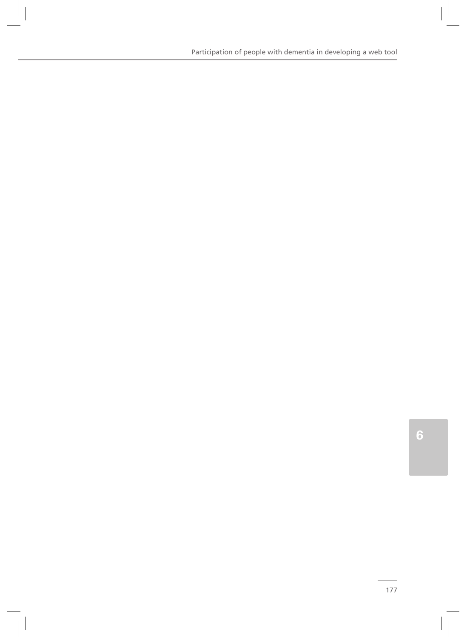Participation of people with dementia in developing a web tool